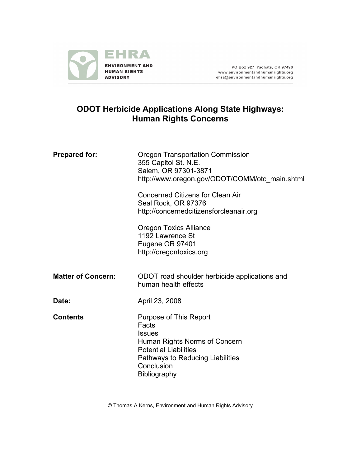

PO Box 927 Yachats, OR 97498 www.environmentandhumanrights.org<br>ehra@environmentandhumanrights.org

# **ODOT Herbicide Applications Along State Highways: Human Rights Concerns**

| <b>Prepared for:</b>      | <b>Oregon Transportation Commission</b><br>355 Capitol St. N.E.<br>Salem, OR 97301-3871<br>http://www.oregon.gov/ODOT/COMM/otc_main.shtml                                                  |
|---------------------------|--------------------------------------------------------------------------------------------------------------------------------------------------------------------------------------------|
|                           | <b>Concerned Citizens for Clean Air</b><br>Seal Rock, OR 97376<br>http://concernedcitizensforcleanair.org                                                                                  |
|                           | <b>Oregon Toxics Alliance</b><br>1192 Lawrence St<br>Eugene OR 97401<br>http://oregontoxics.org                                                                                            |
| <b>Matter of Concern:</b> | ODOT road shoulder herbicide applications and<br>human health effects                                                                                                                      |
| Date:                     | April 23, 2008                                                                                                                                                                             |
| <b>Contents</b>           | Purpose of This Report<br>Facts<br><b>Issues</b><br>Human Rights Norms of Concern<br><b>Potential Liabilities</b><br>Pathways to Reducing Liabilities<br>Conclusion<br><b>Bibliography</b> |

© Thomas A Kerns, Environment and Human Rights Advisory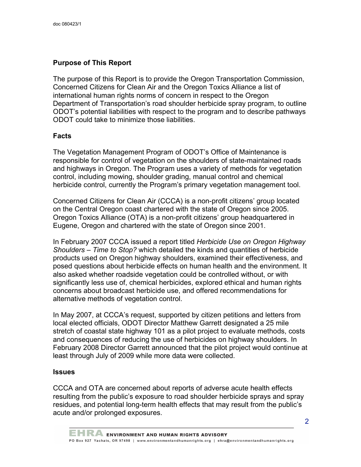## **Purpose of This Report**

The purpose of this Report is to provide the Oregon Transportation Commission, Concerned Citizens for Clean Air and the Oregon Toxics Alliance a list of international human rights norms of concern in respect to the Oregon Department of Transportation's road shoulder herbicide spray program, to outline ODOT's potential liabilities with respect to the program and to describe pathways ODOT could take to minimize those liabilities.

## **Facts**

The Vegetation Management Program of ODOT's Office of Maintenance is responsible for control of vegetation on the shoulders of state-maintained roads and highways in Oregon. The Program uses a variety of methods for vegetation control, including mowing, shoulder grading, manual control and chemical herbicide control, currently the Program's primary vegetation management tool.

Concerned Citizens for Clean Air (CCCA) is a non-profit citizens' group located on the Central Oregon coast chartered with the state of Oregon since 2005. Oregon Toxics Alliance (OTA) is a non-profit citizens' group headquartered in Eugene, Oregon and chartered with the state of Oregon since 2001.

In February 2007 CCCA issued a report titled *Herbicide Use on Oregon Highway Shoulders – Time to Stop?* which detailed the kinds and quantities of herbicide products used on Oregon highway shoulders, examined their effectiveness, and posed questions about herbicide effects on human health and the environment. It also asked whether roadside vegetation could be controlled without, or with significantly less use of, chemical herbicides, explored ethical and human rights concerns about broadcast herbicide use, and offered recommendations for alternative methods of vegetation control.

In May 2007, at CCCA's request, supported by citizen petitions and letters from local elected officials, ODOT Director Matthew Garrett designated a 25 mile stretch of coastal state highway 101 as a pilot project to evaluate methods, costs and consequences of reducing the use of herbicides on highway shoulders. In February 2008 Director Garrett announced that the pilot project would continue at least through July of 2009 while more data were collected.

## **Issues**

CCCA and OTA are concerned about reports of adverse acute health effects resulting from the public's exposure to road shoulder herbicide sprays and spray residues, and potential long-term health effects that may result from the public's acute and/or prolonged exposures.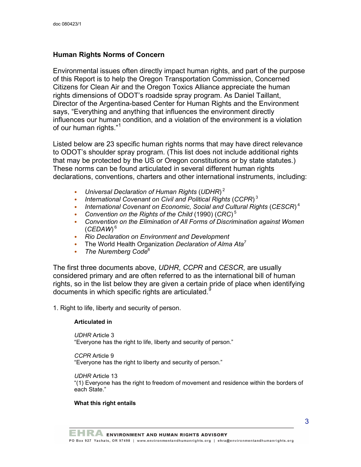## **Human Rights Norms of Concern**

Environmental issues often directly impact human rights, and part of the purpose of this Report is to help the Oregon Transportation Commission, Concerned Citizens for Clean Air and the Oregon Toxics Alliance appreciate the human rights dimensions of ODOT's roadside spray program. As Daniel Taillant, Director of the Argentina-based Center for Human Rights and the Environment says, "Everything and anything that influences the environment directly influences our human condition, and a violation of the environment is a violation of our human rights."<sup>1</sup>

Listed below are 23 specific human rights norms that may have direct relevance to ODOT's shoulder spray program. (This list does not include additional rights that may be protected by the US or Oregon constitutions or by state statutes.) These norms can be found articulated in several different human rights declarations, conventions, charters and other international instruments, including:

- *Universal Declaration of Human Rights* (*UDHR*) <sup>2</sup>
- *International Covenant on Civil and Political Rights* (*CCPR*) <sup>3</sup>
- *International Covenant on Economic, Social and Cultural Rights* (*CESCR*) <sup>4</sup>
- *Convention on the Rights of the Child* (1990) (*CRC*) <sup>5</sup>
- *Convention on the Elimination of All Forms of Discrimination against Women* (*CEDAW*) <sup>6</sup>
- *Rio Declaration on Environment and Development*
- The World Health Organization *Declaration of Alma Ata<sup>7</sup>*
- *The Nuremberg Code*<sup>8</sup>

The first three documents above, *UDHR*, *CCPR* and *CESCR*, are usually considered primary and are often referred to as the international bill of human rights, so in the list below they are given a certain pride of place when identifying documents in which specific rights are articulated.<sup>9</sup>

1. Right to life, liberty and security of person.

## **Articulated in**

*UDHR* Article 3

"Everyone has the right to life, liberty and security of person."

*CCPR* Article 9

"Everyone has the right to liberty and security of person."

*UDHR* Article 13

"(1) Everyone has the right to freedom of movement and residence within the borders of each State."

## **What this right entails**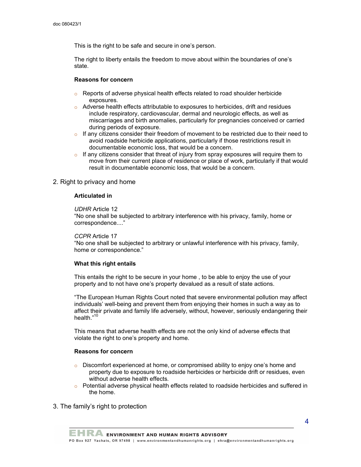This is the right to be safe and secure in one's person.

The right to liberty entails the freedom to move about within the boundaries of one's state.

## **Reasons for concern**

- $\circ$  Reports of adverse physical health effects related to road shoulder herbicide exposures.
- $\circ$  Adverse health effects attributable to exposures to herbicides, drift and residues include respiratory, cardiovascular, dermal and neurologic effects, as well as miscarriages and birth anomalies, particularly for pregnancies conceived or carried during periods of exposure.
- $\circ$  If any citizens consider their freedom of movement to be restricted due to their need to avoid roadside herbicide applications, particularly if those restrictions result in documentable economic loss, that would be a concern.
- $\circ$  If any citizens consider that threat of injury from spray exposures will require them to move from their current place of residence or place of work, particularly if that would result in documentable economic loss, that would be a concern.

## 2. Right to privacy and home

#### **Articulated in**

## *UDHR* Article 12

"No one shall be subjected to arbitrary interference with his privacy, family, home or correspondence...."

## *CCPR* Article 17

"No one shall be subjected to arbitrary or unlawful interference with his privacy, family, home or correspondence."

## **What this right entails**

This entails the right to be secure in your home , to be able to enjoy the use of your property and to not have one's property devalued as a result of state actions.

"The European Human Rights Court noted that severe environmental pollution may affect individuals' well-being and prevent them from enjoying their homes in such a way as to affect their private and family life adversely, without, however, seriously endangering their health." 10

This means that adverse health effects are not the only kind of adverse effects that violate the right to one's property and home.

## **Reasons for concern**

- $\circ$  Discomfort experienced at home, or compromised ability to enjoy one's home and property due to exposure to roadside herbicides or herbicide drift or residues, even without adverse health effects.
- $\circ$  Potential adverse physical health effects related to roadside herbicides and suffered in the home.
- 3. The family's right to protection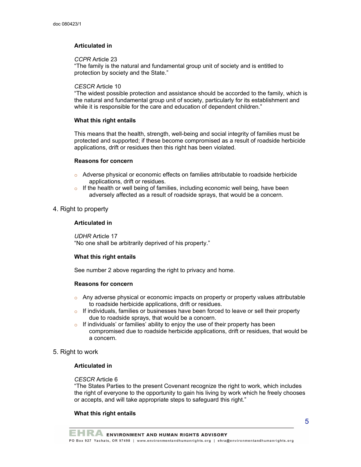## **Articulated in**

## *CCPR* Article 23

"The family is the natural and fundamental group unit of society and is entitled to protection by society and the State."

## *CESCR* Article 10

"The widest possible protection and assistance should be accorded to the family, which is the natural and fundamental group unit of society, particularly for its establishment and while it is responsible for the care and education of dependent children."

## **What this right entails**

This means that the health, strength, well-being and social integrity of families must be protected and supported; if these become compromised as a result of roadside herbicide applications, drift or residues then this right has been violated.

## **Reasons for concern**

- $\circ$  Adverse physical or economic effects on families attributable to roadside herbicide applications, drift or residues.
- $\circ$  If the health or well being of families, including economic well being, have been adversely affected as a result of roadside sprays, that would be a concern.

## 4. Right to property

## **Articulated in**

*UDHR* Article 17 "No one shall be arbitrarily deprived of his property."

## **What this right entails**

See number 2 above regarding the right to privacy and home.

## **Reasons for concern**

- $\circ$  Any adverse physical or economic impacts on property or property values attributable to roadside herbicide applications, drift or residues.
- $\circ$  If individuals, families or businesses have been forced to leave or sell their property due to roadside sprays, that would be a concern.
- $\circ$  If individuals' or families' ability to enjoy the use of their property has been compromised due to roadside herbicide applications, drift or residues, that would be a concern.

## 5. Right to work

## **Articulated in**

## *CESCR* Article 6

"The States Parties to the present Covenant recognize the right to work, which includes the right of everyone to the opportunity to gain his living by work which he freely chooses or accepts, and will take appropriate steps to safeguard this right."

## **What this right entails**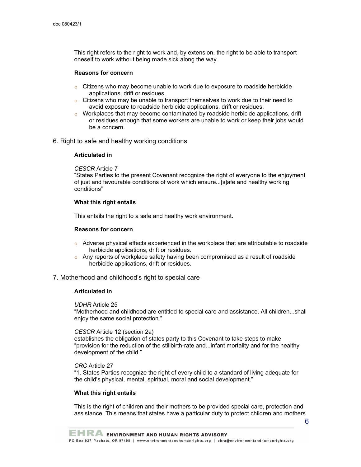This right refers to the right to work and, by extension, the right to be able to transport oneself to work without being made sick along the way.

#### **Reasons for concern**

- $\circ$  Citizens who may become unable to work due to exposure to roadside herbicide applications, drift or residues.
- $\circ$  Citizens who may be unable to transport themselves to work due to their need to avoid exposure to roadside herbicide applications, drift or residues.
- $\circ$  Workplaces that may become contaminated by roadside herbicide applications, drift or residues enough that some workers are unable to work or keep their jobs would be a concern.
- 6. Right to safe and healthy working conditions

#### **Articulated in**

## *CESCR* Article 7

"States Parties to the present Covenant recognize the right of everyone to the enjoyment of just and favourable conditions of work which ensure...[s]afe and healthy working conditions"

#### **What this right entails**

This entails the right to a safe and healthy work environment.

#### **Reasons for concern**

- $\circ$  Adverse physical effects experienced in the workplace that are attributable to roadside herbicide applications, drift or residues.
- $\circ$  Any reports of workplace safety having been compromised as a result of roadside herbicide applications, drift or residues.

#### 7. Motherhood and childhood's right to special care

#### **Articulated in**

## *UDHR* Article 25

"Motherhood and childhood are entitled to special care and assistance. All children...shall enjoy the same social protection."

## *CESCR* Article 12 (section 2a)

establishes the obligation of states party to this Covenant to take steps to make "provision for the reduction of the stillbirth-rate and...infant mortality and for the healthy development of the child."

#### *CRC* Article 27

"1. States Parties recognize the right of every child to a standard of living adequate for the child's physical, mental, spiritual, moral and social development."

#### **What this right entails**

This is the right of children and their mothers to be provided special care, protection and assistance. This means that states have a particular duty to protect children and mothers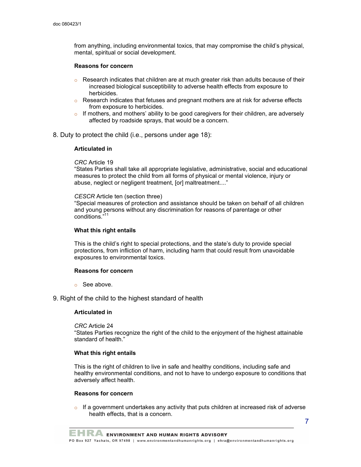from anything, including environmental toxics, that may compromise the child's physical, mental, spiritual or social development.

#### **Reasons for concern**

- $\circ$  Research indicates that children are at much greater risk than adults because of their increased biological susceptibility to adverse health effects from exposure to herbicides.
- $\circ$  Research indicates that fetuses and pregnant mothers are at risk for adverse effects from exposure to herbicides.
- $\circ$  If mothers, and mothers' ability to be good caregivers for their children, are adversely affected by roadside sprays, that would be a concern.
- 8. Duty to protect the child (i.e., persons under age 18):

#### **Articulated in**

*CRC* Article 19

"States Parties shall take all appropriate legislative, administrative, social and educational measures to protect the child from all forms of physical or mental violence, injury or abuse, neglect or negligent treatment, [or] maltreatment...."

#### *CESCR* Article ten (section three)

"Special measures of protection and assistance should be taken on behalf of all children and young persons without any discrimination for reasons of parentage or other conditions." 11

#### **What this right entails**

This is the child's right to special protections, and the state's duty to provide special protections, from infliction of harm, including harm that could result from unavoidable exposures to environmental toxics.

#### **Reasons for concern**

o See above.

## 9. Right of the child to the highest standard of health

## **Articulated in**

*CRC* Article 24 "States Parties recognize the right of the child to the enjoyment of the highest attainable standard of health."

#### **What this right entails**

This is the right of children to live in safe and healthy conditions, including safe and healthy environmental conditions, and not to have to undergo exposure to conditions that adversely affect health.

#### **Reasons for concern**

 $\circ$  If a government undertakes any activity that puts children at increased risk of adverse health effects, that is a concern.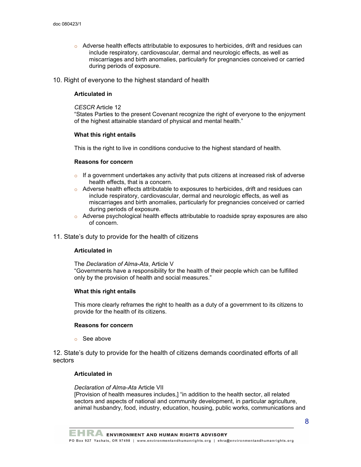$\circ$  Adverse health effects attributable to exposures to herbicides, drift and residues can include respiratory, cardiovascular, dermal and neurologic effects, as well as miscarriages and birth anomalies, particularly for pregnancies conceived or carried during periods of exposure.

10. Right of everyone to the highest standard of health

## **Articulated in**

#### *CESCR* Article 12

"States Parties to the present Covenant recognize the right of everyone to the enjoyment of the highest attainable standard of physical and mental health."

#### **What this right entails**

This is the right to live in conditions conducive to the highest standard of health.

#### **Reasons for concern**

- $\circ$  If a government undertakes any activity that puts citizens at increased risk of adverse health effects, that is a concern.
- $\circ$  Adverse health effects attributable to exposures to herbicides, drift and residues can include respiratory, cardiovascular, dermal and neurologic effects, as well as miscarriages and birth anomalies, particularly for pregnancies conceived or carried during periods of exposure.
- $\circ$  Adverse psychological health effects attributable to roadside spray exposures are also of concern.
- 11. State's duty to provide for the health of citizens

#### **Articulated in**

The *Declaration of Alma-Ata*, Article V

"Governments have a responsibility for the health of their people which can be fulfilled only by the provision of health and social measures."

#### **What this right entails**

This more clearly reframes the right to health as a duty of a government to its citizens to provide for the health of its citizens.

## **Reasons for concern**

o See above

12. State's duty to provide for the health of citizens demands coordinated efforts of all sectors

## **Articulated in**

#### *Declaration of Alma-Ata* Article VII

[Provision of health measures includes,] "in addition to the health sector, all related sectors and aspects of national and community development, in particular agriculture, animal husbandry, food, industry, education, housing, public works, communications and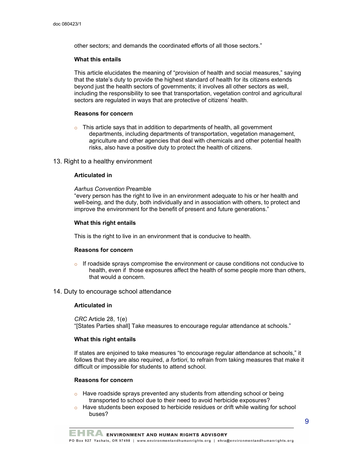other sectors; and demands the coordinated efforts of all those sectors."

#### **What this entails**

This article elucidates the meaning of "provision of health and social measures," saying that the state's duty to provide the highest standard of health for its citizens extends beyond just the health sectors of governments; it involves all other sectors as well, including the responsibility to see that transportation, vegetation control and agricultural sectors are regulated in ways that are protective of citizens' health.

#### **Reasons for concern**

 $\circ$  This article says that in addition to departments of health, all government departments, including departments of transportation, vegetation management, agriculture and other agencies that deal with chemicals and other potential health risks, also have a positive duty to protect the health of citizens.

## 13. Right to a healthy environment

## **Articulated in**

*Aarhus Convention* Preamble

"every person has the right to live in an environment adequate to his or her health and well-being, and the duty, both individually and in association with others, to protect and improve the environment for the benefit of present and future generations."

#### **What this right entails**

This is the right to live in an environment that is conducive to health.

## **Reasons for concern**

 $\circ$  If roadside sprays compromise the environment or cause conditions not conducive to health, even if those exposures affect the health of some people more than others, that would a concern.

## 14. Duty to encourage school attendance

#### **Articulated in**

*CRC* Article 28, 1(e) "[States Parties shall] Take measures to encourage regular attendance at schools."

## **What this right entails**

If states are enjoined to take measures "to encourage regular attendance at schools," it follows that they are also required, *a fortiori*, to refrain from taking measures that make it difficult or impossible for students to attend school.

#### **Reasons for concern**

- $\circ$  Have roadside sprays prevented any students from attending school or being transported to school due to their need to avoid herbicide exposures?
- $\circ$  Have students been exposed to herbicide residues or drift while waiting for school buses?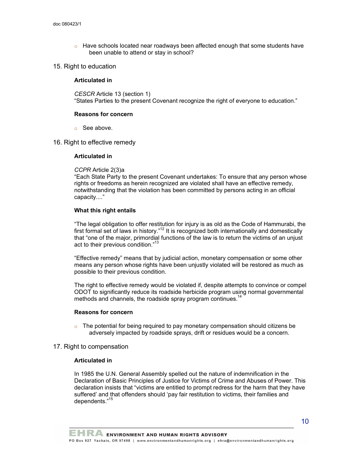- $\circ$  Have schools located near roadways been affected enough that some students have been unable to attend or stay in school?
- 15. Right to education

## **Articulated in**

*CESCR* Article 13 (section 1) "States Parties to the present Covenant recognize the right of everyone to education."

## **Reasons for concern**

- o See above.
- 16. Right to effective remedy

## **Articulated in**

*CCPR* Article 2(3)a

"Each State Party to the present Covenant undertakes: To ensure that any person whose rights or freedoms as herein recognized are violated shall have an effective remedy, notwithstanding that the violation has been committed by persons acting in an official capacity...."

## **What this right entails**

"The legal obligation to offer restitution for injury is as old as the Code of Hammurabi, the first formal set of laws in history."<sup>12</sup> It is recognized both internationally and domestically that "one of the major, primordial functions of the law is to return the victims of an unjust act to their previous condition."<sup>13</sup>

"Effective remedy" means that by judicial action, monetary compensation or some other means any person whose rights have been unjustly violated will be restored as much as possible to their previous condition.

The right to effective remedy would be violated if, despite attempts to convince or compel ODOT to significantly reduce its roadside herbicide program using normal governmental methods and channels, the roadside spray program continues.<sup>14</sup>

## **Reasons for concern**

 $\circ$  The potential for being required to pay monetary compensation should citizens be adversely impacted by roadside sprays, drift or residues would be a concern.

## 17. Right to compensation

## **Articulated in**

In 1985 the U.N. General Assembly spelled out the nature of indemnification in the Declaration of Basic Principles of Justice for Victims of Crime and Abuses of Power. This declaration insists that "victims are entitled to prompt redress for the harm that they have suffered' and that offenders should 'pay fair restitution to victims, their families and dependents."<sup>15</sup>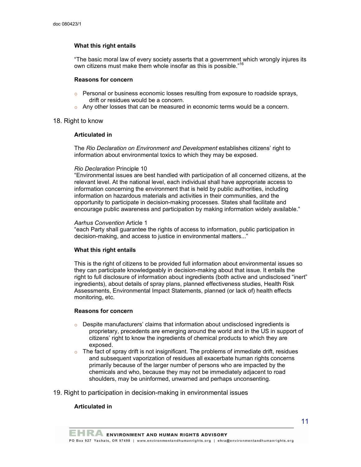## **What this right entails**

"The basic moral law of every society asserts that a government which wrongly injures its own citizens must make them whole insofar as this is possible."<sup>16</sup>

#### **Reasons for concern**

- $\circ$  Personal or business economic losses resulting from exposure to roadside sprays, drift or residues would be a concern.
- $\circ$  Any other losses that can be measured in economic terms would be a concern.

#### 18. Right to know

## **Articulated in**

The *Rio Declaration on Environment and Development* establishes citizens' right to information about environmental toxics to which they may be exposed.

#### *Rio Declaration* Principle 10

"Environmental issues are best handled with participation of all concerned citizens, at the relevant level. At the national level, each individual shall have appropriate access to information concerning the environment that is held by public authorities, including information on hazardous materials and activities in their communities, and the opportunity to participate in decision-making processes. States shall facilitate and encourage public awareness and participation by making information widely available."

#### *Aarhus Convention* Article 1

"each Party shall guarantee the rights of access to information, public participation in decision-making, and access to justice in environmental matters..."

## **What this right entails**

This is the right of citizens to be provided full information about environmental issues so they can participate knowledgeably in decision-making about that issue. It entails the right to full disclosure of information about ingredients (both active and undisclosed "inert" ingredients), about details of spray plans, planned effectiveness studies, Health Risk Assessments, Environmental Impact Statements, planned (or lack of) health effects monitoring, etc.

#### **Reasons for concern**

- $\circ$  Despite manufacturers' claims that information about undisclosed ingredients is proprietary, precedents are emerging around the world and in the US in support of citizens' right to know the ingredients of chemical products to which they are exposed.
- $\circ$  The fact of spray drift is not insignificant. The problems of immediate drift, residues and subsequent vaporization of residues all exacerbate human rights concerns primarily because of the larger number of persons who are impacted by the chemicals and who, because they may not be immediately adjacent to road shoulders, may be uninformed, unwarned and perhaps unconsenting.
- 19. Right to participation in decision-making in environmental issues

#### **Articulated in**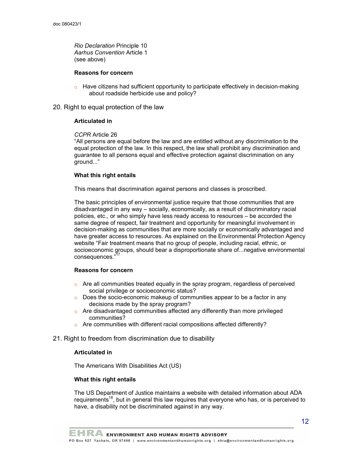*Rio Declaration* Principle 10 *Aarhus Convention* Article 1 (see above)

### **Reasons for concern**

 $\circ$  Have citizens had sufficient opportunity to participate effectively in decision-making about roadside herbicide use and policy?

#### 20. Right to equal protection of the law

#### **Articulated in**

## *CCPR* Article 26

"All persons are equal before the law and are entitled without any discrimination to the equal protection of the law. In this respect, the law shall prohibit any discrimination and guarantee to all persons equal and effective protection against discrimination on any ground..."

#### **What this right entails**

This means that discrimination against persons and classes is proscribed.

The basic principles of environmental justice require that those communities that are disadvantaged in any way – socially, economically, as a result of discriminatory racial policies, etc., or who simply have less ready access to resources – be accorded the same degree of respect, fair treatment and opportunity for meaningful involvement in decision-making as communities that are more socially or economically advantaged and have greater access to resources. As explained on the Environmental Protection Agency website "Fair treatment means that no group of people, including racial, ethnic, or socioeconomic groups, should bear a disproportionate share of...negative environmental consequences." 17

## **Reasons for concern**

- $\circ$  Are all communities treated equally in the spray program, regardless of perceived social privilege or socioeconomic status?
- $\circ$  Does the socio-economic makeup of communities appear to be a factor in any decisions made by the spray program?
- $\circ$  Are disadvantaged communities affected any differently than more privileged communities?
- $\circ$  Are communities with different racial compositions affected differently?

## 21. Right to freedom from discrimination due to disability

## **Articulated in**

The Americans With Disabilities Act (US)

## **What this right entails**

The US Department of Justice maintains a website with detailed information about ADA requirements<sup>18</sup>, but in general this law requires that everyone who has, or is perceived to have, a disability not be discriminated against in any way.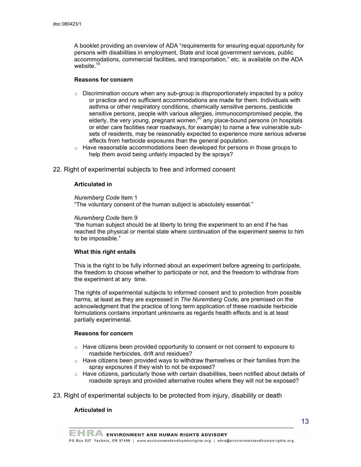A booklet providing an overview of ADA "requirements for ensuring equal opportunity for persons with disabilities in employment, State and local government services, public accommodations, commercial facilities, and transportation," etc. is available on the ADA website. 19

### **Reasons for concern**

- $\circ$  Discrimination occurs when any sub-group is disproportionately impacted by a policy or practice and no sufficient accommodations are made for them. Individuals with asthma or other respiratory conditions, chemically sensitive persons, pesticide sensitive persons, people with various allergies, immunocompromised people, the elderly, the very young, pregnant women,<sup>20</sup> any place-bound persons (in hospitals or elder care facilities near roadways, for example) to name a few vulnerable subsets of residents, may be reasonably expected to experience more serious adverse effects from herbicide exposures than the general population.
- $\circ$  Have reasonable accommodations been developed for persons in those groups to help them avoid being unfairly impacted by the sprays?
- 22. Right of experimental subjects to free and informed consent

#### **Articulated in**

#### *Nuremberg Code* Item 1

"The voluntary consent of the human subject is absolutely essential."

#### *Nuremberg Code* Item 9

"the human subject should be at liberty to bring the experiment to an end if he has reached the physical or mental state where continuation of the experiment seems to him to be impossible."

## **What this right entails**

This is the right to be fully informed about an experiment before agreeing to participate, the freedom to choose whether to participate or not, and the freedom to withdraw from the experiment at any time.

The rights of experimental subjects to informed consent and to protection from possible harms, at least as they are expressed in *The Nuremberg Code*, are premised on the acknowledgment that the practice of long term application of these roadside herbicide formulations contains important unknowns as regards health effects and is at least partially experimental.

#### **Reasons for concern**

- $\circ$  Have citizens been provided opportunity to consent or not consent to exposure to roadside herbicides, drift and residues?
- $\circ$  Have citizens been provided ways to withdraw themselves or their families from the spray exposures if they wish to not be exposed?
- $\circ$  Have citizens, particularly those with certain disabilities, been notified about details of roadside sprays and provided alternative routes where they will not be exposed?
- 23. Right of experimental subjects to be protected from injury, disability or death

## **Articulated in**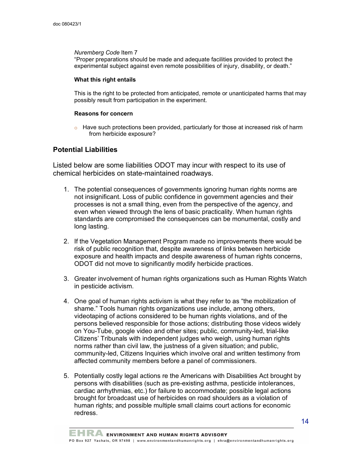## *Nuremberg Code* Item 7

"Proper preparations should be made and adequate facilities provided to protect the experimental subject against even remote possibilities of injury, disability, or death."

## **What this right entails**

This is the right to be protected from anticipated, remote or unanticipated harms that may possibly result from participation in the experiment.

## **Reasons for concern**

 $\circ$  Have such protections been provided, particularly for those at increased risk of harm from herbicide exposure?

## **Potential Liabilities**

Listed below are some liabilities ODOT may incur with respect to its use of chemical herbicides on state-maintained roadways.

- 1. The potential consequences of governments ignoring human rights norms are not insignificant. Loss of public confidence in government agencies and their processes is not a small thing, even from the perspective of the agency, and even when viewed through the lens of basic practicality. When human rights standards are compromised the consequences can be monumental, costly and long lasting.
- 2. If the Vegetation Management Program made no improvements there would be risk of public recognition that, despite awareness of links between herbicide exposure and health impacts and despite awareness of human rights concerns, ODOT did not move to significantly modify herbicide practices.
- 3. Greater involvement of human rights organizations such as Human Rights Watch in pesticide activism.
- 4. One goal of human rights activism is what they refer to as "the mobilization of shame." Tools human rights organizations use include, among others, videotaping of actions considered to be human rights violations, and of the persons believed responsible for those actions; distributing those videos widely on You-Tube, google video and other sites; public, community-led, trial-like Citizens' Tribunals with independent judges who weigh, using human rights norms rather than civil law, the justness of a given situation; and public, community-led, Citizens Inquiries which involve oral and written testimony from affected community members before a panel of commissioners.
- 5. Potentially costly legal actions re the Americans with Disabilities Act brought by persons with disabilities (such as pre-existing asthma, pesticide intolerances, cardiac arrhythmias, etc.) for failure to accommodate; possible legal actions brought for broadcast use of herbicides on road shoulders as a violation of human rights; and possible multiple small claims court actions for economic redress.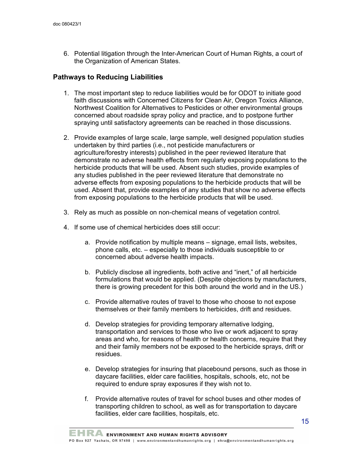6. Potential litigation through the Inter-American Court of Human Rights, a court of the Organization of American States.

## **Pathways to Reducing Liabilities**

- 1. The most important step to reduce liabilities would be for ODOT to initiate good faith discussions with Concerned Citizens for Clean Air, Oregon Toxics Alliance, Northwest Coalition for Alternatives to Pesticides or other environmental groups concerned about roadside spray policy and practice, and to postpone further spraying until satisfactory agreements can be reached in those discussions.
- 2. Provide examples of large scale, large sample, well designed population studies undertaken by third parties (i.e., not pesticide manufacturers or agriculture/forestry interests) published in the peer reviewed literature that demonstrate no adverse health effects from regularly exposing populations to the herbicide products that will be used. Absent such studies, provide examples of any studies published in the peer reviewed literature that demonstrate no adverse effects from exposing populations to the herbicide products that will be used. Absent that, provide examples of any studies that show no adverse effects from exposing populations to the herbicide products that will be used.
- 3. Rely as much as possible on non-chemical means of vegetation control.
- 4. If some use of chemical herbicides does still occur:
	- a. Provide notification by multiple means signage, email lists, websites, phone calls, etc. – especially to those individuals susceptible to or concerned about adverse health impacts.
	- b. Publicly disclose all ingredients, both active and "inert," of all herbicide formulations that would be applied. (Despite objections by manufacturers, there is growing precedent for this both around the world and in the US.)
	- c. Provide alternative routes of travel to those who choose to not expose themselves or their family members to herbicides, drift and residues.
	- d. Develop strategies for providing temporary alternative lodging, transportation and services to those who live or work adjacent to spray areas and who, for reasons of health or health concerns, require that they and their family members not be exposed to the herbicide sprays, drift or residues.
	- e. Develop strategies for insuring that placebound persons, such as those in daycare facilities, elder care facilities, hospitals, schools, etc, not be required to endure spray exposures if they wish not to.
	- f. Provide alternative routes of travel for school buses and other modes of transporting children to school, as well as for transportation to daycare facilities, elder care facilities, hospitals, etc.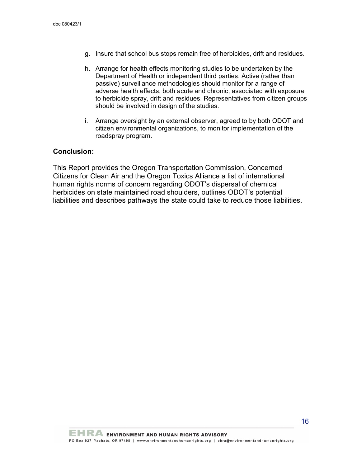- g. Insure that school bus stops remain free of herbicides, drift and residues.
- h. Arrange for health effects monitoring studies to be undertaken by the Department of Health or independent third parties. Active (rather than passive) surveillance methodologies should monitor for a range of adverse health effects, both acute and chronic, associated with exposure to herbicide spray, drift and residues. Representatives from citizen groups should be involved in design of the studies.
- i. Arrange oversight by an external observer, agreed to by both ODOT and citizen environmental organizations, to monitor implementation of the roadspray program.

## **Conclusion:**

This Report provides the Oregon Transportation Commission, Concerned Citizens for Clean Air and the Oregon Toxics Alliance a list of international human rights norms of concern regarding ODOT's dispersal of chemical herbicides on state maintained road shoulders, outlines ODOT's potential liabilities and describes pathways the state could take to reduce those liabilities.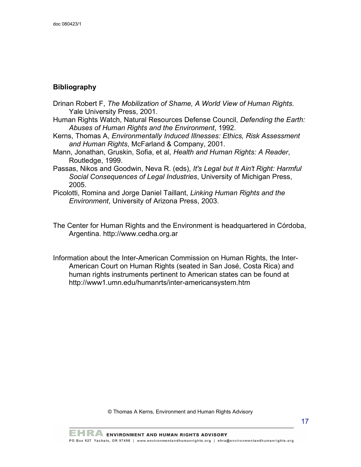## **Bibliography**

- Drinan Robert F, *The Mobilization of Shame, A World View of Human Rights*. Yale University Press, 2001.
- Human Rights Watch, Natural Resources Defense Council, *Defending the Earth: Abuses of Human Rights and the Environment*, 1992.
- Kerns, Thomas A, *Environmentally Induced Illnesses: Ethics, Risk Assessment and Human Rights*, McFarland & Company, 2001.
- Mann, Jonathan, Gruskin, Sofia, et al, *Health and Human Rights: A Reader*, Routledge, 1999.
- Passas, Nikos and Goodwin, Neva R. (eds), *It's Legal but It Ain't Right: Harmful Social Consequences of Legal Industries*, University of Michigan Press, 2005.
- Picolotti, Romina and Jorge Daniel Taillant, *Linking Human Rights and the Environment*, University of Arizona Press, 2003.
- The Center for Human Rights and the Environment is headquartered in Córdoba, Argentina. http://www.cedha.org.ar
- Information about the Inter-American Commission on Human Rights, the Inter-American Court on Human Rights (seated in San José, Costa Rica) and human rights instruments pertinent to American states can be found at http://www1.umn.edu/humanrts/inter-americansystem.htm

© Thomas A Kerns, Environment and Human Rights Advisory